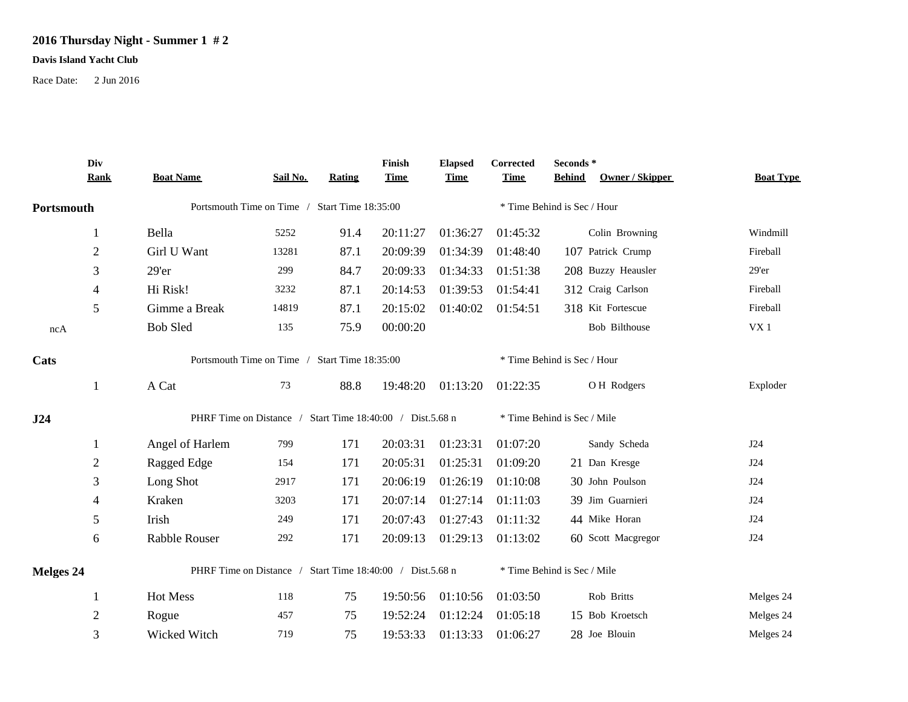## **2016 Thursday Night - Summer 1 # 2**

## **Davis Island Yacht Club**

Race Date: 2 Jun 2016

|            | Div<br><b>Rank</b>                                        | <b>Boat Name</b>                                          | Sail No. | Rating | Finish<br><b>Time</b>       | <b>Elapsed</b><br><b>Time</b> | Corrected<br><b>Time</b>    | Seconds *<br>Owner / Skipper<br><b>Behind</b> | <b>Boat Type</b> |  |
|------------|-----------------------------------------------------------|-----------------------------------------------------------|----------|--------|-----------------------------|-------------------------------|-----------------------------|-----------------------------------------------|------------------|--|
| Portsmouth |                                                           | Portsmouth Time on Time / Start Time 18:35:00             |          |        |                             |                               | * Time Behind is Sec / Hour |                                               |                  |  |
|            | 1                                                         | Bella                                                     | 5252     | 91.4   | 20:11:27                    | 01:36:27                      | 01:45:32                    | Colin Browning                                | Windmill         |  |
|            | $\mathbf{2}$                                              | Girl U Want                                               | 13281    | 87.1   | 20:09:39                    | 01:34:39                      | 01:48:40                    | 107 Patrick Crump                             | Fireball         |  |
|            | 3                                                         | 29'er                                                     | 299      | 84.7   | 20:09:33                    | 01:34:33                      | 01:51:38                    | 208 Buzzy Heausler                            | 29'er            |  |
|            | 4                                                         | Hi Risk!                                                  | 3232     | 87.1   | 20:14:53                    | 01:39:53                      | 01:54:41                    | 312 Craig Carlson                             | Fireball         |  |
|            | 5                                                         | Gimme a Break                                             | 14819    | 87.1   | 20:15:02                    | 01:40:02                      | 01:54:51                    | 318 Kit Fortescue                             | Fireball         |  |
| ncA        |                                                           | <b>Bob Sled</b>                                           | 135      | 75.9   | 00:00:20                    |                               |                             | <b>Bob Bilthouse</b>                          | VX1              |  |
| Cats       |                                                           | Portsmouth Time on Time / Start Time 18:35:00             |          |        |                             |                               | * Time Behind is Sec / Hour |                                               |                  |  |
|            | 1                                                         | A Cat                                                     | 73       | 88.8   | 19:48:20                    | 01:13:20                      | 01:22:35                    | OH Rodgers                                    | Exploder         |  |
| J24        |                                                           | PHRF Time on Distance / Start Time 18:40:00 / Dist.5.68 n |          |        |                             |                               | * Time Behind is Sec / Mile |                                               |                  |  |
|            | $\perp$                                                   | Angel of Harlem                                           | 799      | 171    | 20:03:31                    | 01:23:31                      | 01:07:20                    | Sandy Scheda                                  | J24              |  |
|            | $\mathbf{2}$                                              | Ragged Edge                                               | 154      | 171    | 20:05:31                    | 01:25:31                      | 01:09:20                    | 21 Dan Kresge                                 | J24              |  |
|            | 3                                                         | Long Shot                                                 | 2917     | 171    | 20:06:19                    | 01:26:19                      | 01:10:08                    | 30 John Poulson                               | J24              |  |
|            | 4                                                         | Kraken                                                    | 3203     | 171    | 20:07:14                    | 01:27:14                      | 01:11:03                    | 39 Jim Guarnieri                              | J24              |  |
|            | 5                                                         | Irish                                                     | 249      | 171    | 20:07:43                    | 01:27:43                      | 01:11:32                    | 44 Mike Horan                                 | J24              |  |
|            | 6                                                         | Rabble Rouser                                             | 292      | 171    | 20:09:13                    | 01:29:13                      | 01:13:02                    | 60 Scott Macgregor                            | J24              |  |
| Melges 24  | PHRF Time on Distance / Start Time 18:40:00 / Dist.5.68 n |                                                           |          |        | * Time Behind is Sec / Mile |                               |                             |                                               |                  |  |
|            | $\perp$                                                   | Hot Mess                                                  | 118      | 75     | 19:50:56                    | 01:10:56                      | 01:03:50                    | Rob Britts                                    | Melges 24        |  |
|            | $\mathbf{2}$                                              | Rogue                                                     | 457      | 75     | 19:52:24                    | 01:12:24                      | 01:05:18                    | 15 Bob Kroetsch                               | Melges 24        |  |
|            | 3                                                         | Wicked Witch                                              | 719      | 75     | 19:53:33                    | 01:13:33                      | 01:06:27                    | 28 Joe Blouin                                 | Melges 24        |  |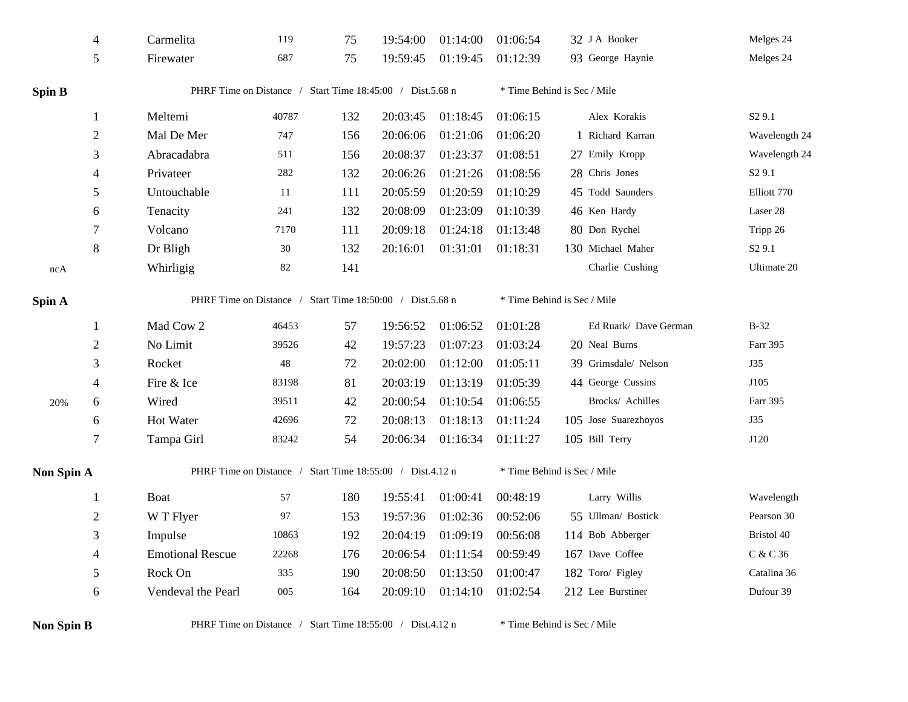|                   | 4                | Carmelita                                                 | 119    | 75  | 19:54:00 | 01:14:00                    | 01:06:54                    | 32 J A Booker               | Melges 24          |  |  |
|-------------------|------------------|-----------------------------------------------------------|--------|-----|----------|-----------------------------|-----------------------------|-----------------------------|--------------------|--|--|
|                   | 5                | Firewater                                                 | 687    | 75  | 19:59:45 | 01:19:45                    | 01:12:39                    | 93 George Haynie            | Melges 24          |  |  |
| <b>Spin B</b>     |                  | PHRF Time on Distance / Start Time 18:45:00 / Dist.5.68 n |        |     |          |                             | * Time Behind is Sec / Mile |                             |                    |  |  |
|                   | 1                | Meltemi                                                   | 40787  | 132 | 20:03:45 | 01:18:45                    | 01:06:15                    | Alex Korakis                | S <sub>2</sub> 9.1 |  |  |
|                   | $\boldsymbol{2}$ | Mal De Mer                                                | 747    | 156 | 20:06:06 | 01:21:06                    | 01:06:20                    | 1 Richard Karran            | Wavelength 24      |  |  |
|                   | 3                | Abracadabra                                               | 511    | 156 | 20:08:37 | 01:23:37                    | 01:08:51                    | 27 Emily Kropp              | Wavelength 24      |  |  |
|                   | 4                | Privateer                                                 | 282    | 132 | 20:06:26 | 01:21:26                    | 01:08:56                    | 28 Chris Jones              | S <sub>2</sub> 9.1 |  |  |
|                   | 5                | Untouchable                                               | 11     | 111 | 20:05:59 | 01:20:59                    | 01:10:29                    | 45 Todd Saunders            | Elliott 770        |  |  |
|                   | 6                | Tenacity                                                  | 241    | 132 | 20:08:09 | 01:23:09                    | 01:10:39                    | 46 Ken Hardy                | Laser 28           |  |  |
|                   | $\tau$           | Volcano                                                   | 7170   | 111 | 20:09:18 | 01:24:18                    | 01:13:48                    | 80 Don Rychel               | Tripp 26           |  |  |
|                   | $8\,$            | Dr Bligh                                                  | 30     | 132 | 20:16:01 | 01:31:01                    | 01:18:31                    | 130 Michael Maher           | S <sub>2</sub> 9.1 |  |  |
| ncA               |                  | Whirligig                                                 | $82\,$ | 141 |          |                             |                             | Charlie Cushing             | Ultimate 20        |  |  |
| Spin A            |                  | PHRF Time on Distance / Start Time 18:50:00 / Dist.5.68 n |        |     |          | * Time Behind is Sec / Mile |                             |                             |                    |  |  |
|                   | 1                | Mad Cow 2                                                 | 46453  | 57  | 19:56:52 | 01:06:52                    | 01:01:28                    | Ed Ruark/ Dave German       | $B-32$             |  |  |
|                   | $\overline{2}$   | No Limit                                                  | 39526  | 42  | 19:57:23 | 01:07:23                    | 01:03:24                    | 20 Neal Burns               | Farr 395           |  |  |
|                   | 3                | Rocket                                                    | 48     | 72  | 20:02:00 | 01:12:00                    | 01:05:11                    | 39 Grimsdale/ Nelson        | J35                |  |  |
|                   | 4                | Fire & Ice                                                | 83198  | 81  | 20:03:19 | 01:13:19                    | 01:05:39                    | 44 George Cussins           | J105               |  |  |
| 20%               | 6                | Wired                                                     | 39511  | 42  | 20:00:54 | 01:10:54                    | 01:06:55                    | Brocks/ Achilles            | Farr 395           |  |  |
|                   | 6                | Hot Water                                                 | 42696  | 72  | 20:08:13 | 01:18:13                    | 01:11:24                    | 105 Jose Suarezhoyos        | J35                |  |  |
|                   | 7                | Tampa Girl                                                | 83242  | 54  | 20:06:34 | 01:16:34                    | 01:11:27                    | 105 Bill Terry              | J120               |  |  |
| Non Spin A        |                  | PHRF Time on Distance / Start Time 18:55:00 / Dist.4.12 n |        |     |          |                             |                             | * Time Behind is Sec / Mile |                    |  |  |
|                   | $\mathbf 1$      | <b>Boat</b>                                               | 57     | 180 | 19:55:41 | 01:00:41                    | 00:48:19                    | Larry Willis                | Wavelength         |  |  |
|                   | $\overline{2}$   | W T Flyer                                                 | 97     | 153 | 19:57:36 | 01:02:36                    | 00:52:06                    | 55 Ullman/ Bostick          | Pearson 30         |  |  |
|                   | 3                | Impulse                                                   | 10863  | 192 | 20:04:19 | 01:09:19                    | 00:56:08                    | 114 Bob Abberger            | Bristol 40         |  |  |
|                   | 4                | <b>Emotional Rescue</b>                                   | 22268  | 176 | 20:06:54 | 01:11:54                    | 00:59:49                    | 167 Dave Coffee             | C & C 36           |  |  |
|                   | 5                | Rock On                                                   | 335    | 190 | 20:08:50 | 01:13:50                    | 01:00:47                    | 182 Toro/ Figley            | Catalina 36        |  |  |
|                   | 6                | Vendeval the Pearl                                        | 005    | 164 | 20:09:10 | 01:14:10                    | 01:02:54                    | 212 Lee Burstiner           | Dufour 39          |  |  |
| <b>Non Spin B</b> |                  | PHRF Time on Distance / Start Time 18:55:00 / Dist.4.12 n |        |     |          |                             |                             | * Time Behind is Sec / Mile |                    |  |  |